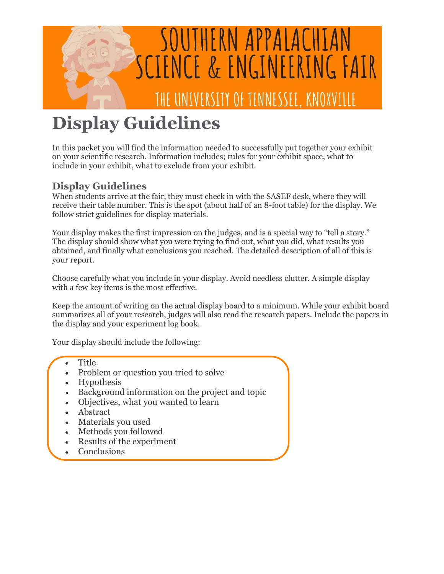

# **Display Guidelines**

In this packet you will find the information needed to successfully put together your exhibit on your scientific research. Information includes; rules for your exhibit space, what to include in your exhibit, what to exclude from your exhibit.

# **Display Guidelines**

When students arrive at the fair, they must check in with the SASEF desk, where they will receive their table number. This is the spot (about half of an 8-foot table) for the display. We follow strict guidelines for display materials.

Your display makes the first impression on the judges, and is a special way to "tell a story." The display should show what you were trying to find out, what you did, what results you obtained, and finally what conclusions you reached. The detailed description of all of this is your report.

Choose carefully what you include in your display. Avoid needless clutter. A simple display with a few key items is the most effective.

Keep the amount of writing on the actual display board to a minimum. While your exhibit board summarizes all of your research, judges will also read the research papers. Include the papers in the display and your experiment log book.

Your display should include the following:

- **Title**
- Problem or question you tried to solve
- Hypothesis
- Background information on the project and topic
- Objectives, what you wanted to learn
- Abstract
- Materials you used
- Methods you followed
- Results of the experiment  $\bullet$
- Conclusions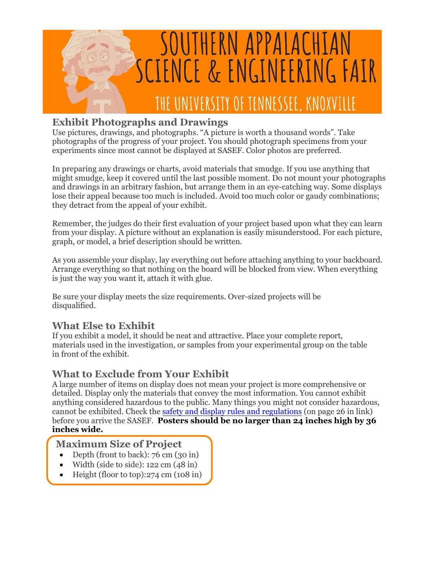

## **Exhibit Photographs and Drawings**

Use pictures, drawings, and photographs. "A picture is worth a thousand words". Take photographs of the progress of your project. You should photograph specimens from your experiments since most cannot be displayed at SASEF. Color photos are preferred.

In preparing any drawings or charts, avoid materials that smudge. If you use anything that might smudge, keep it covered until the last possible moment. Do not mount your photographs and drawings in an arbitrary fashion, but arrange them in an eye-catching way. Some displays lose their appeal because too much is included. Avoid too much color or gaudy combinations; they detract from the appeal of your exhibit.

Remember, the judges do their first evaluation of your project based upon what they can learn from your display. A picture without an explanation is easily misunderstood. For each picture, graph, or model, a brief description should be written.

As you assemble your display, lay everything out before attaching anything to your backboard. Arrange everything so that nothing on the board will be blocked from view. When everything is just the way you want it, attach it with glue.

Be sure your display meets the size requirements. Over-sized projects will be disqualified.

# **What Else to Exhibit**

If you exhibit a model, it should be neat and attractive. Place your complete report, materials used in the investigation, or samples from your experimental group on the table in front of the exhibit.

# **What to Exclude from Your Exhibit**

A large number of items on display does not mean your project is more comprehensive or detailed. Display only the materials that convey the most information. You cannot exhibit anything considered hazardous to the public. Many things you might not consider hazardous, cannot be exhibited. Check the [safety and display rules and regulations](https://sspcdn.blob.core.windows.net/files/Documents/SEP/ISEF/2021/Rules/Book.pdf) (on page 26 in link) before you arrive the SASEF. **Posters should be no larger than 24 inches high by 36 inches wide.**

## **Maximum Size of Project**

- Depth (front to back): 76 cm (30 in)
- Width (side to side): 122 cm (48 in)
- Height (floor to top):274 cm (108 in)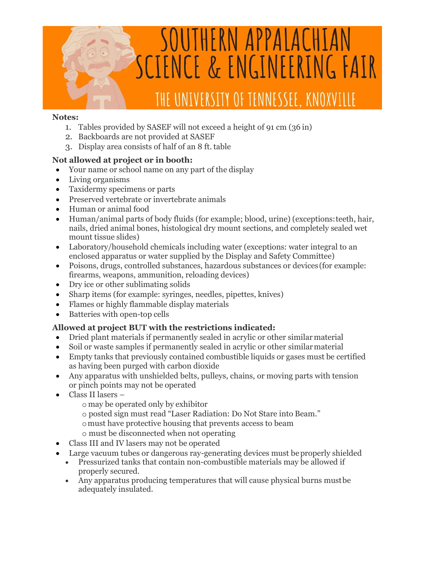

#### **Notes:**

- 1. Tables provided by SASEF will not exceed a height of 91 cm (36 in)
- 2. Backboards are not provided at SASEF
- 3. Display area consists of half of an 8 ft. table

#### **Not allowed at project or in booth:**

- Your name or school name on any part of the display
- Living organisms
- Taxidermy specimens or parts
- Preserved vertebrate or invertebrate animals
- Human or animal food
- Human/animal parts of body fluids (for example; blood, urine) (exceptions:teeth, hair, nails, dried animal bones, histological dry mount sections, and completely sealed wet mount tissue slides)
- Laboratory/household chemicals including water (exceptions: water integral to an enclosed apparatus or water supplied by the Display and Safety Committee)
- Poisons, drugs, controlled substances, hazardous substances or devices(for example: firearms, weapons, ammunition, reloading devices)
- Dry ice or other sublimating solids
- Sharp items (for example: syringes, needles, pipettes, knives)
- Flames or highly flammable display materials
- Batteries with open-top cells

### **Allowed at project BUT with the restrictions indicated:**

- Dried plant materials if permanently sealed in acrylic or other similar material
- Soil or waste samples if permanently sealed in acrylic or other similarmaterial
- Empty tanks that previously contained combustible liquids or gases must be certified as having been purged with carbon dioxide
- Any apparatus with unshielded belts, pulleys, chains, or moving parts with tension or pinch points may not be operated
- Class II lasers
	- o may be operated only by exhibitor
	- o posted sign must read "Laser Radiation: Do Not Stare into Beam."
	- omust have protective housing that prevents access to beam
	- o must be disconnected when not operating
- Class III and IV lasers may not be operated
- Large vacuum tubes or dangerous ray-generating devices must be properly shielded
	- Pressurized tanks that contain non-combustible materials may be allowed if properly secured.
	- Any apparatus producing temperatures that will cause physical burns mustbe adequately insulated.